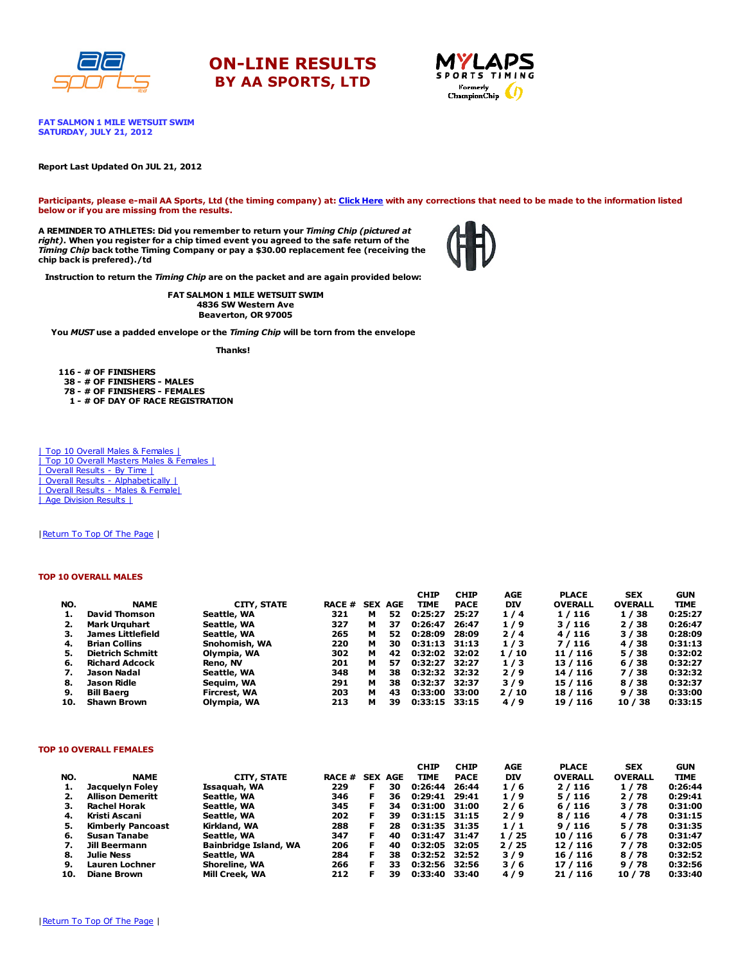

# ON-LINE RESULTS BY AA SPORTS, LTD



FAT SALMON 1 MILE WETSUIT SWIM SATURDAY, JULY 21, 2012

#### Report Last Updated On JUL 21, 2012

Participants, please e-mail AA Sports, Ltd (the timing company) at: [Click](http://www.racecenter.com/aa-sports-results-inquiry/) Here with any corrections that need to be made to the information listed below or if you are missing from the results.

A REMINDER TO ATHLETES: Did you remember to return your Timing Chip (pictured at right). When you register for a chip timed event you agreed to the safe return of the Timing Chip back tothe Timing Company or pay a \$30.00 replacement fee (receiving the chip back is prefered)./td



Instruction to return the Timing Chip are on the packet and are again provided below:

FAT SALMON 1 MILE WETSUIT SWIM 4836 SW Western Ave Beaverton, OR 97005

You MUST use a padded envelope or the Timing Chip will be torn from the envelope

Thanks!

 - # OF FINISHERS - # OF FINISHERS - MALES - # OF FINISHERS - FEMALES - # OF DAY OF RACE REGISTRATION

| Top 10 Overall Males & Females | | Top 10 Overall Masters Males & Females | | Overall Results - By Time | | Overall Results - [Alphabetically](http://www.racecenter.com/results/2012/res_s2al12.htm) | | Overall Results - Males & [Female|](http://www.racecenter.com/results/2012/res_s2og12.htm) | Age [Division](http://www.racecenter.com/results/2012/res_s2ag12.htm) Results |

| Return To Top Of The Page |

#### TOP 10 OVERALL MALES

|     |                          |               |               |   |                | <b>CHIP</b>     | <b>CHIP</b> | <b>AGE</b> | <b>PLACE</b>   | <b>SEX</b>     | <b>GUN</b>  |
|-----|--------------------------|---------------|---------------|---|----------------|-----------------|-------------|------------|----------------|----------------|-------------|
| NO. | <b>NAME</b>              | CITY, STATE   | <b>RACE #</b> |   | <b>SEX AGE</b> | TIME            | <b>PACE</b> | <b>DIV</b> | <b>OVERALL</b> | <b>OVERALL</b> | <b>TIME</b> |
|     | <b>David Thomson</b>     | Seattle, WA   | 321           | м | 52             | 0:25:27         | 25:27       | 1/4        | 1/116          | 1/38           | 0:25:27     |
|     | <b>Mark Urguhart</b>     | Seattle, WA   | 327           | м | 37             | 0:26:47         | 26:47       | 1/9        | 3/116          | 2/38           | 0:26:47     |
| з.  | <b>James Littlefield</b> | Seattle, WA   | 265           | м | 52             | 0:28:09         | 28:09       | 2/4        | 4/116          | 3/38           | 0:28:09     |
| 4.  | <b>Brian Collins</b>     | Snohomish, WA | 220           | м | 30             | $0:31:13$ 31:13 |             | 1/3        | 7/116          | 4 / 38         | 0:31:13     |
| 5.  | <b>Dietrich Schmitt</b>  | Olympia, WA   | 302           | м | 42             | 0:32:02         | 32:02       | 1/10       | 11 / 116       | 5/38           | 0:32:02     |
| 6.  | <b>Richard Adcock</b>    | Reno, NV      | 201           | м | 57             | 0:32:27         | 32:27       | 1/3        | 13/116         | 6 / 38         | 0:32:27     |
|     | Jason Nadal              | Seattle, WA   | 348           | м | 38             | 0:32:32 32:32   |             | 2/9        | 14 / 116       | 7/38           | 0:32:32     |
| 8.  | Jason Ridle              | Seguim, WA    | 291           | м | 38             | 0:32:37         | 32:37       | 3/9        | 15 / 116       | 8 / 38         | 0:32:37     |
| 9.  | <b>Bill Baerg</b>        | Fircrest, WA  | 203           | м | 43             | 0:33:00         | 33:00       | 2/10       | 18 / 116       | 9/38           | 0:33:00     |
| 10. | <b>Shawn Brown</b>       | Olympia, WA   | 213           | м | 39             | $0:33:15$ 33:15 |             | 4/9        | 19 / 116       | 10/38          | 0:33:15     |

### TOP 10 OVERALL FEMALES

|     |                          |                       |               |            |     | <b>CHIP</b>     | <b>CHIP</b> | AGE        | <b>PLACE</b>   | <b>SEX</b>     | <b>GUN</b>  |
|-----|--------------------------|-----------------------|---------------|------------|-----|-----------------|-------------|------------|----------------|----------------|-------------|
| NO. | <b>NAME</b>              | CITY, STATE           | <b>RACE #</b> | <b>SEX</b> | AGE | <b>TIME</b>     | <b>PACE</b> | <b>DIV</b> | <b>OVERALL</b> | <b>OVERALL</b> | <b>TIME</b> |
| 1.  | Jacquelyn Foley          | Issaquah, WA          | 229           | F.         | 30  | 0:26:44         | 26:44       | 1/6        | 2/116          | 1/78           | 0:26:44     |
| 2.  | <b>Allison Demeritt</b>  | Seattle, WA           | 346           | F          | 36  | 0:29:41         | 29:41       | 1/9        | 5/116          | 2/78           | 0:29:41     |
| з.  | <b>Rachel Horak</b>      | Seattle, WA           | 345           | F          | 34  | $0:31:00$ 31:00 |             | 2/6        | 6/116          | 3/78           | 0:31:00     |
| 4.  | Kristi Ascani            | Seattle, WA           | 202           | F.         | 39  | $0:31:15$ 31:15 |             | 2/9        | 8/116          | 4/78           | 0:31:15     |
| 5.  | <b>Kimberly Pancoast</b> | Kirkland, WA          | 288           |            | 28  | 0:31:35 31:35   |             | 1/1        | 9/116          | 5/78           | 0:31:35     |
| 6.  | Susan Tanabe             | Seattle, WA           | 347           | F.         | 40  | 0:31:47         | 31:47       | 1/25       | 10/116         | 6/78           | 0:31:47     |
| 7.  | Jill Beermann            | Bainbridge Island, WA | 206           | F.         | 40  | 0:32:05         | 32:05       | 2/25       | 12/116         | 7/78           | 0:32:05     |
| 8.  | <b>Julie Ness</b>        | Seattle, WA           | 284           | F.         | 38  | 0:32:52         | 32:52       | 3/9        | 16 / 116       | 8/78           | 0:32:52     |
| 9.  | Lauren Lochner           | Shoreline, WA         | 266           | F.         | 33  | 0:32:56         | 32:56       | 3/6        | 17 / 116       | 9/78           | 0:32:56     |
| 10. | <b>Diane Brown</b>       | Mill Creek, WA        | 212           |            | 39  | 0:33:40         | 33:40       | 4/9        | 21/116         | 10 / 78        | 0:33:40     |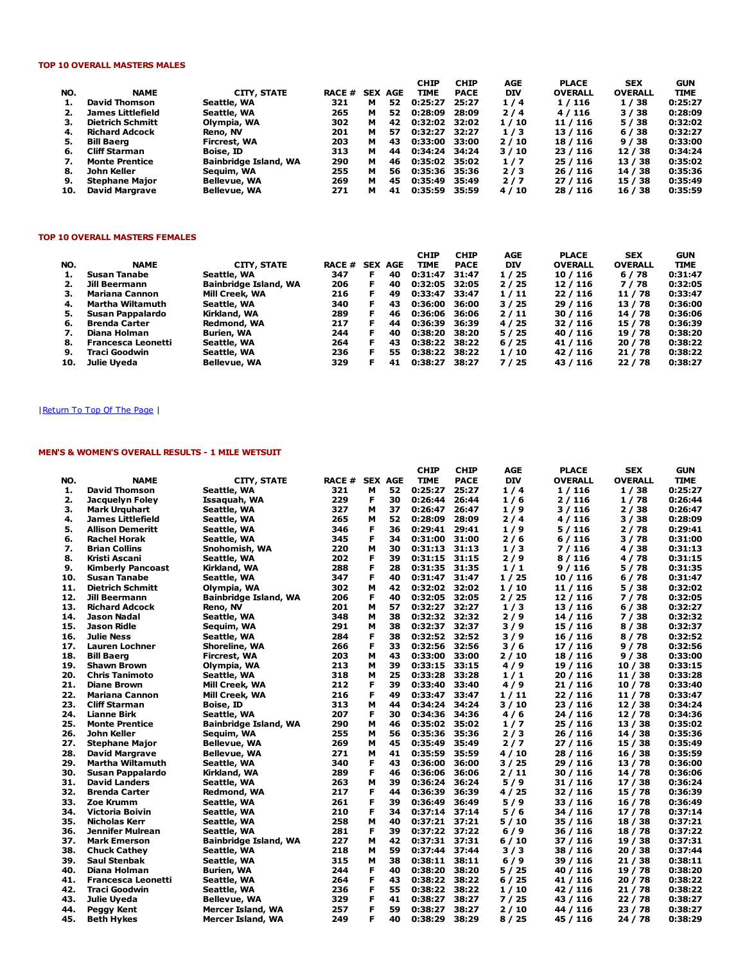## TOP 10 OVERALL MASTERS MALES

|     |                         |                       |        |            |     | <b>CHIP</b>   | <b>CHIP</b> | AGE        | <b>PLACE</b>   | <b>SEX</b>     | <b>GUN</b>  |
|-----|-------------------------|-----------------------|--------|------------|-----|---------------|-------------|------------|----------------|----------------|-------------|
| NO. | <b>NAME</b>             | CITY, STATE           | RACE # | <b>SEX</b> | AGE | <b>TIME</b>   | <b>PACE</b> | <b>DIV</b> | <b>OVERALL</b> | <b>OVERALL</b> | <b>TIME</b> |
| 1.  | David Thomson           | Seattle, WA           | 321    | м          | 52  | 0:25:27       | 25:27       | 1/4        | 1/116          | 1/38           | 0:25:27     |
|     | James Littlefield       | Seattle, WA           | 265    | м          | 52  | 0:28:09       | 28:09       | 2/4        | 4/116          | 3/38           | 0:28:09     |
| з.  | <b>Dietrich Schmitt</b> | Olympia, WA           | 302    | м          | 42  | 0:32:02 32:02 |             | 1/10       | 11 / 116       | 5/38           | 0:32:02     |
| 4.  | <b>Richard Adcock</b>   | Reno, NV              | 201    | м          | 57  | 0:32:27       | 32:27       | 1/3        | 13/116         | 6/38           | 0:32:27     |
| 5.  | <b>Bill Baerg</b>       | <b>Fircrest, WA</b>   | 203    | м          | 43  | 0:33:00       | 33:00       | 2/10       | 18 / 116       | 9/38           | 0:33:00     |
| 6.  | Cliff Starman           | Boise, ID             | 313    | м          | 44  | 0:34:24 34:24 |             | 3/10       | 23 / 116       | 12/38          | 0:34:24     |
| 7.  | <b>Monte Prentice</b>   | Bainbridge Island, WA | 290    | м          | 46  | 0:35:02 35:02 |             | 1/7        | 25 / 116       | 13 / 38        | 0:35:02     |
| 8.  | John Keller             | Seauim, WA            | 255    | м          | 56  | 0:35:36       | 35:36       | 2/3        | 26 / 116       | 14 / 38        | 0:35:36     |
| 9.  | <b>Stephane Major</b>   | Bellevue, WA          | 269    | м          | 45  | 0:35:49       | 35:49       | 2/7        | 27/116         | 15 / 38        | 0:35:49     |
| 10. | <b>David Margrave</b>   | Bellevue, WA          | 271    | м          | 41  | 0:35:59       | 35:59       | 4/10       | 28 / 116       | 16 / 38        | 0:35:59     |

#### TOP 10 OVERALL MASTERS FEMALES

| NO. | <b>NAME</b>               | CITY, STATE           | RACE # | <b>SEX</b> | AGE | <b>CHIP</b><br>TIME | <b>CHIP</b><br><b>PACE</b> | AGE<br><b>DIV</b> | <b>PLACE</b><br><b>OVERALL</b> | <b>SEX</b><br><b>OVERALL</b> | <b>GUN</b><br><b>TIME</b> |
|-----|---------------------------|-----------------------|--------|------------|-----|---------------------|----------------------------|-------------------|--------------------------------|------------------------------|---------------------------|
| 1.  | Susan Tanabe              | Seattle, WA           | 347    | F          | 40  | 0:31:47             | 31:47                      | 1/25              | 10 / 116                       | 6/78                         | 0:31:47                   |
| 2.  | Jill Beermann             | Bainbridge Island, WA | 206    | F.         | 40  | 0:32:05             | 32:05                      | 2/25              | 12/116                         | 7/78                         | 0:32:05                   |
| 3.  | Mariana Cannon            | Mill Creek, WA        | 216    | F.         | 49  | 0:33:47             | 33:47                      | 1/11              | 22/116                         | 11 / 78                      | 0:33:47                   |
| 4.  | Martha Wiltamuth          | Seattle, WA           | 340    | F.         | 43  | 0:36:00             | 36:00                      | 3/25              | 29/116                         | 13/78                        | 0:36:00                   |
| 5.  | Susan Pappalardo          | Kirkland, WA          | 289    | F.         | 46  | 0:36:06             | 36:06                      | 2/11              | 30 / 116                       | 14 / 78                      | 0:36:06                   |
| 6.  | <b>Brenda Carter</b>      | Redmond, WA           | 217    | F          | 44  | 0:36:39             | 36:39                      | 4 / 25            | 32 / 116                       | 15 / 78                      | 0:36:39                   |
| 7.  | Diana Holman              | <b>Burien, WA</b>     | 244    | F          | 40  | 0:38:20             | 38:20                      | 5 / 25            | 40 / 116                       | 19 / 78                      | 0:38:20                   |
| 8.  | <b>Francesca Leonetti</b> | Seattle, WA           | 264    | F          | 43  | 0:38:22             | 38:22                      | 6/25              | 41 / 116                       | 20/78                        | 0:38:22                   |
| 9.  | Traci Goodwin             | Seattle, WA           | 236    | F.         | 55  | 0:38:22             | 38:22                      | 1/10              | 42 / 116                       | 21/78                        | 0:38:22                   |
| 10. | Julie Uyeda               | <b>Bellevue, WA</b>   | 329    | F          | 41  | 0:38:27             | 38:27                      | 7 / 25            | 43 / 116                       | 22 / 78                      | 0:38:27                   |

# | Return To Top Of The Page |

# MEN'S & WOMEN'S OVERALL RESULTS - 1 MILE WETSUIT

|     |                           |                              |        |                |    | <b>CHIP</b>   | <b>CHIP</b> | AGE        | <b>PLACE</b>   | <b>SEX</b>     | <b>GUN</b>  |
|-----|---------------------------|------------------------------|--------|----------------|----|---------------|-------------|------------|----------------|----------------|-------------|
| NO. | <b>NAME</b>               | <b>CITY, STATE</b>           | RACE # | <b>SEX AGE</b> |    | <b>TIME</b>   | <b>PACE</b> | <b>DIV</b> | <b>OVERALL</b> | <b>OVERALL</b> | <b>TIME</b> |
| 1.  | <b>David Thomson</b>      | Seattle, WA                  | 321    | м              | 52 | 0:25:27       | 25:27       | 1/4        | 1/116          | 1/38           | 0:25:27     |
| 2.  | Jacquelyn Foley           | Issaquah, WA                 | 229    | F              | 30 | 0:26:44       | 26:44       | 1/6        | 2/116          | 1/78           | 0:26:44     |
| 3.  | <b>Mark Urguhart</b>      | Seattle, WA                  | 327    | м              | 37 | 0:26:47       | 26:47       | 1/9        | 3/116          | 2/38           | 0:26:47     |
| 4.  | James Littlefield         | Seattle, WA                  | 265    | м              | 52 | 0:28:09       | 28:09       | 2/4        | 4/116          | 3/38           | 0:28:09     |
| 5.  | Allison Demeritt          | Seattle, WA                  | 346    | F              | 36 | 0:29:41       | 29:41       | 1/9        | 5 / 116        | 2 / 78         | 0:29:41     |
| 6.  | <b>Rachel Horak</b>       | Seattle, WA                  | 345    | F              | 34 | 0:31:00       | 31:00       | 2/6        | 6/116          | 3/78           | 0:31:00     |
| 7.  | <b>Brian Collins</b>      | Snohomish, WA                | 220    | М              | 30 | 0:31:13       | 31:13       | 1/3        | 7/116          | 4 / 38         | 0:31:13     |
| 8.  | Kristi Ascani             | Seattle, WA                  | 202    | F              | 39 | 0:31:15       | 31:15       | 2/9        | 8/116          | 4/78           | 0:31:15     |
| 9.  | <b>Kimberly Pancoast</b>  | Kirkland, WA                 | 288    | F              | 28 | 0:31:35       | 31:35       | 1/1        | 9/116          | 5/78           | 0:31:35     |
| 10. | <b>Susan Tanabe</b>       | Seattle, WA                  | 347    | F              | 40 | 0:31:47       | 31:47       | 1/25       | 10 / 116       | 6/78           | 0:31:47     |
| 11. | <b>Dietrich Schmitt</b>   | Olympia, WA                  | 302    | М              | 42 | 0:32:02 32:02 |             | 1/10       | 11/116         | 5/38           | 0:32:02     |
| 12. | Jill Beermann             | <b>Bainbridge Island, WA</b> | 206    | F              | 40 | 0:32:05       | 32:05       | 2/25       | 12 / 116       | 7 / 78         | 0:32:05     |
| 13. | <b>Richard Adcock</b>     | Reno, NV                     | 201    | м              | 57 | 0:32:27       | 32:27       | 1/3        | 13 / 116       | 6/38           | 0:32:27     |
| 14. | Jason Nadal               | Seattle, WA                  | 348    | М              | 38 | 0:32:32 32:32 |             | 2/9        | 14 / 116       | 7 / 38         | 0:32:32     |
| 15. | Jason Ridle               | Seguim, WA                   | 291    | M              | 38 | 0:32:37       | 32:37       | 3/9        | 15/116         | 8 / 38         | 0:32:37     |
| 16. | Julie Ness                | Seattle, WA                  | 284    | F              | 38 | 0:32:52 32:52 |             | 3/9        | 16/116         | 8/78           | 0:32:52     |
| 17. | <b>Lauren Lochner</b>     | Shoreline, WA                | 266    | F              | 33 | 0:32:56       | 32:56       | 3/6        | 17 / 116       | 9/78           | 0:32:56     |
| 18. | <b>Bill Baerg</b>         | Fircrest, WA                 | 203    | м              | 43 | 0:33:00       | 33:00       | 2/10       | 18/116         | 9/38           | 0:33:00     |
| 19. | <b>Shawn Brown</b>        | Olympia, WA                  | 213    | м              | 39 | 0:33:15       | 33:15       | 4/9        | 19 / 116       | 10/38          | 0:33:15     |
| 20. | Chris Tanimoto            | Seattle, WA                  | 318    | м              | 25 | 0:33:28       | 33:28       | 1/1        | 20/116         | 11 / 38        | 0:33:28     |
| 21. | <b>Diane Brown</b>        | <b>Mill Creek, WA</b>        | 212    | F              | 39 | 0:33:40       | 33:40       | 4/9        | 21 / 116       | 10 / 78        | 0:33:40     |
| 22. | <b>Mariana Cannon</b>     | <b>Mill Creek, WA</b>        | 216    | F              | 49 | 0:33:47       | 33:47       | 1/11       | 22/116         | 11 / 78        | 0:33:47     |
| 23. | <b>Cliff Starman</b>      | <b>Boise, ID</b>             | 313    | М              | 44 | 0:34:24       | 34:24       | 3/10       | 23 / 116       | 12 / 38        | 0:34:24     |
| 24. | <b>Lianne Birk</b>        | Seattle, WA                  | 207    | F              | 30 | 0:34:36       | 34:36       | 4/6        | 24 / 116       | 12 / 78        | 0:34:36     |
| 25. | <b>Monte Prentice</b>     | <b>Bainbridge Island, WA</b> | 290    | м              | 46 | 0:35:02       | 35:02       | 1/7        | 25/116         | 13 / 38        | 0:35:02     |
| 26. | John Keller               | Seguim, WA                   | 255    | м              | 56 | 0:35:36       | 35:36       | 2/3        | 26/116         | 14/38          | 0:35:36     |
| 27. | <b>Stephane Major</b>     | <b>Bellevue, WA</b>          | 269    | М              | 45 | 0:35:49       | 35:49       | 2/7        | 27/116         | 15/38          | 0:35:49     |
| 28. | <b>David Margrave</b>     | <b>Bellevue, WA</b>          | 271    | M              | 41 | 0:35:59       | 35:59       | 4 / 10     | 28 / 116       | 16/38          | 0:35:59     |
| 29. | Martha Wiltamuth          | Seattle, WA                  | 340    | F              | 43 | 0:36:00       | 36:00       | 3/25       | 29 / 116       | 13 / 78        | 0:36:00     |
| 30. | Susan Pappalardo          | Kirkland, WA                 | 289    | F              | 46 | 0:36:06       | 36:06       | 2/11       | 30 / 116       | 14 / 78        | 0:36:06     |
| 31. | <b>David Landers</b>      | Seattle, WA                  | 263    | М              | 39 | 0:36:24       | 36:24       | 5/9        | 31/116         | 17 / 38        | 0:36:24     |
| 32. | Brenda Carter             | Redmond, WA                  | 217    | F              | 44 | 0:36:39       | 36:39       | 4/25       | 32/116         | 15 / 78        | 0:36:39     |
| 33. | Zoe Krumm                 | Seattle, WA                  | 261    | F              | 39 | 0:36:49       | 36:49       | 5/9        | 33 / 116       | 16 / 78        | 0:36:49     |
| 34. | <b>Victoria Boivin</b>    | Seattle, WA                  | 210    | F              | 34 | 0:37:14       | 37:14       | 5/6        | 34 / 116       | 17/78          | 0:37:14     |
| 35. | Nicholas Kerr             | Seattle, WA                  | 258    | M              | 40 | 0:37:21 37:21 |             | 5/10       | 35 / 116       | 18 / 38        | 0:37:21     |
| 36. | Jennifer Mulrean          | Seattle, WA                  | 281    | F              | 39 | 0:37:22       | 37:22       | 6/9        | 36 / 116       | 18 / 78        | 0:37:22     |
| 37. | <b>Mark Emerson</b>       | <b>Bainbridge Island, WA</b> | 227    | м              | 42 | 0:37:31 37:31 |             | 6 / 10     | 37 / 116       | 19 / 38        | 0:37:31     |
| 38. | <b>Chuck Cathey</b>       | Seattle, WA                  | 218    | м              | 59 | 0:37:44       | 37:44       | 3/3        | 38 / 116       | 20/38          | 0:37:44     |
| 39. | Saul Stenbak              | Seattle, WA                  | 315    | м              | 38 | 0:38:11       | 38:11       | 6/9        | 39 / 116       | 21/38          | 0:38:11     |
| 40. | Diana Holman              | <b>Burien, WA</b>            | 244    | F              | 40 | 0:38:20       | 38:20       | 5/25       | 40 / 116       | 19 / 78        | 0:38:20     |
| 41. | <b>Francesca Leonetti</b> | Seattle, WA                  | 264    | F              | 43 | 0:38:22       | 38:22       | 6/25       | 41 / 116       | 20 / 78        | 0:38:22     |
| 42. | <b>Traci Goodwin</b>      | Seattle, WA                  | 236    | F              | 55 | 0:38:22       | 38:22       | 1/10       | 42 / 116       | 21 / 78        | 0:38:22     |
| 43. | Julie Uyeda               | Bellevue, WA                 | 329    | F              | 41 | 0:38:27       | 38:27       | 7/25       | 43 / 116       | 22 / 78        | 0:38:27     |
| 44. | <b>Peggy Kent</b>         | Mercer Island, WA            | 257    | F              | 59 | 0:38:27       | 38:27       | 2/10       | 44 / 116       | 23 / 78        | 0:38:27     |
| 45. | Beth Hykes                | Mercer Island, WA            | 249    | F              | 40 | 0:38:29       | 38:29       | 8 / 25     | 45 / 116       | 24/78          | 0:38:29     |